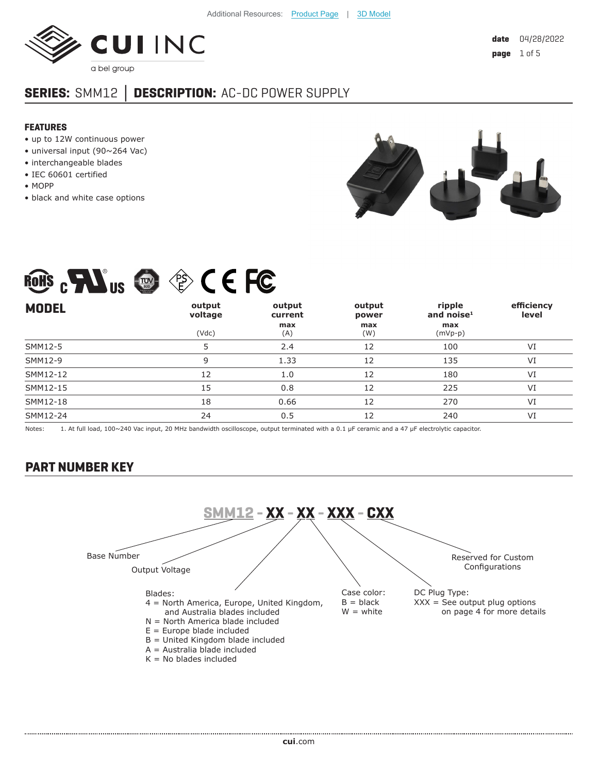

# **SERIES:** SMM12 **│ DESCRIPTION:** AC-DC POWER SUPPLY

#### **FEATURES**

- up to 12W continuous power
- universal input (90~264 Vac)
- interchangeable blades
- IEC 60601 certified
- MOPP
- black and white case options



| <b>ROHS</b><br>LC<br>PS<br>\F⁄<br>◘<br>$-\frac{1}{\sqrt{2}}$<br>$\blacktriangle$<br>C<br><b>US</b> |                            |                                 |                               |                                             |                     |  |  |  |  |
|----------------------------------------------------------------------------------------------------|----------------------------|---------------------------------|-------------------------------|---------------------------------------------|---------------------|--|--|--|--|
| <b>MODEL</b>                                                                                       | output<br>voltage<br>(Vdc) | output<br>current<br>max<br>(A) | output<br>power<br>max<br>(W) | ripple<br>and noise $1$<br>max<br>$(mVp-p)$ | efficiency<br>level |  |  |  |  |
| SMM12-5                                                                                            | 5                          | 2.4                             | 12                            | 100                                         | VI                  |  |  |  |  |
| SMM12-9                                                                                            | 9                          | 1.33                            | 12                            | 135                                         | VI                  |  |  |  |  |
| SMM12-12                                                                                           | 12                         | 1.0                             | 12                            | 180                                         | VI                  |  |  |  |  |
| SMM12-15                                                                                           | 15                         | 0.8                             | 12                            | 225                                         | VI                  |  |  |  |  |
| SMM12-18                                                                                           | 18                         | 0.66                            | 12                            | 270                                         | VI                  |  |  |  |  |
| SMM12-24                                                                                           | 24                         | 0.5                             | 12                            | 240                                         | VI                  |  |  |  |  |

Notes: 1. At full load, 100~240 Vac input, 20 MHz bandwidth oscilloscope, output terminated with a 0.1 µF ceramic and a 47 µF electrolytic capacitor.

### **PART NUMBER KEY**

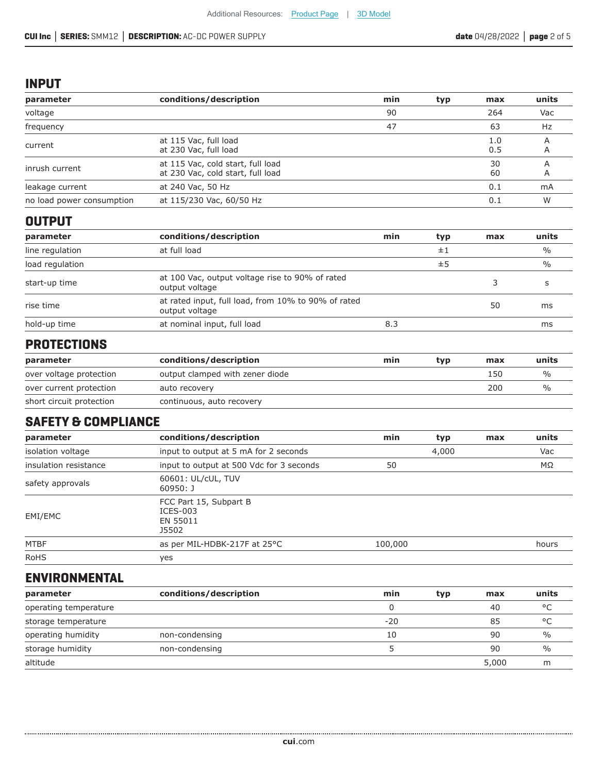#### **INPUT**

| parameter                 | conditions/description                                                 | min | typ | max        | units          |
|---------------------------|------------------------------------------------------------------------|-----|-----|------------|----------------|
| voltage                   |                                                                        | 90  |     | 264        | Vac            |
| frequency                 |                                                                        | 47  |     | 63         | Hz             |
| current                   | at 115 Vac, full load<br>at 230 Vac, full load                         |     |     | 1.0<br>0.5 | A<br>A         |
| inrush current            | at 115 Vac, cold start, full load<br>at 230 Vac, cold start, full load |     |     | 30<br>60   | $\overline{A}$ |
| leakage current           | at 240 Vac, 50 Hz                                                      |     |     | 0.1        | mA             |
| no load power consumption | at 115/230 Vac, 60/50 Hz                                               |     |     | 0.1        | W              |
| <b>OUTPUT</b>             |                                                                        |     |     |            |                |

| parameter       | conditions/description                                                | min | typ | max | units         |
|-----------------|-----------------------------------------------------------------------|-----|-----|-----|---------------|
| line regulation | at full load                                                          |     | ±1  |     | $\frac{0}{0}$ |
| load regulation |                                                                       |     | ±5  |     | $\frac{0}{0}$ |
| start-up time   | at 100 Vac, output voltage rise to 90% of rated<br>output voltage     |     |     |     |               |
| rise time       | at rated input, full load, from 10% to 90% of rated<br>output voltage |     |     | 50  | ms            |
| hold-up time    | at nominal input, full load                                           | 8.3 |     |     | ms            |

### **PROTECTIONS**

| parameter                | conditions/description          | min | tvp | max | units |
|--------------------------|---------------------------------|-----|-----|-----|-------|
| over voltage protection  | output clamped with zener diode |     |     | 150 | $\%$  |
| over current protection  | auto recovery                   |     |     | 200 | $\%$  |
| short circuit protection | continuous, auto recovery       |     |     |     |       |

### **SAFETY & COMPLIANCE**

| parameter             | conditions/description                                    | min     | typ | max | units |
|-----------------------|-----------------------------------------------------------|---------|-----|-----|-------|
| isolation voltage     | input to output at 5 mA for 2 seconds                     |         |     | Vac |       |
| insulation resistance | input to output at 500 Vdc for 3 seconds                  | 50      |     |     | ΜΩ    |
| safety approvals      | 60601: UL/cUL, TUV<br>$60950:$ J                          |         |     |     |       |
| EMI/EMC               | FCC Part 15, Subpart B<br>$ICES-003$<br>EN 55011<br>J5502 |         |     |     |       |
| MTBF                  | as per MIL-HDBK-217F at 25°C                              | 100,000 |     |     | hours |
| <b>RoHS</b>           | yes                                                       |         |     |     |       |

### **ENVIRONMENTAL**

| parameter             | conditions/description | min   | typ | max   | units         |
|-----------------------|------------------------|-------|-----|-------|---------------|
| operating temperature |                        |       |     | 40    | $\circ$       |
| storage temperature   |                        | $-20$ |     | 85    | $\circ$       |
| operating humidity    | non-condensing         | 10    |     | 90    | $\frac{0}{0}$ |
| storage humidity      | non-condensing         |       |     | 90    | $\frac{0}{0}$ |
| altitude              |                        |       |     | 5,000 | m             |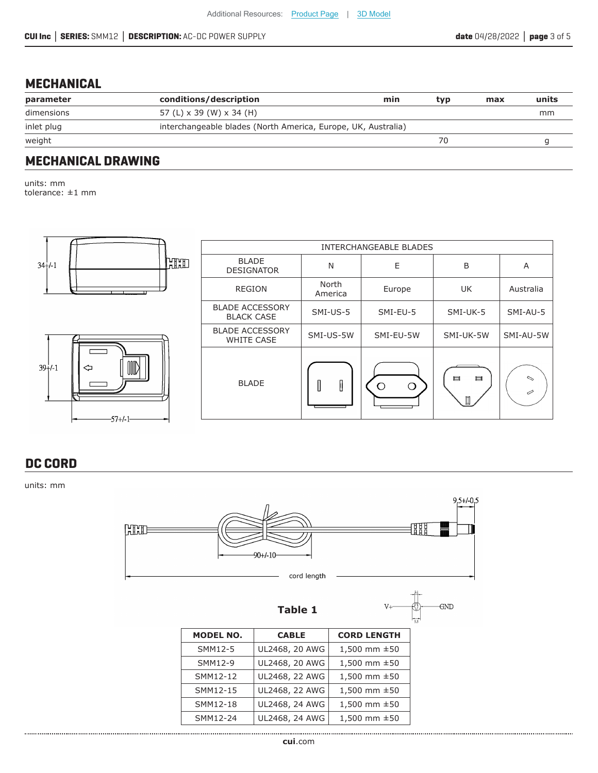#### **MECHANICAL**

| parameter  | conditions/description                                        | min | tvp | max | units |
|------------|---------------------------------------------------------------|-----|-----|-----|-------|
| dimensions | 57 (L) x 39 (W) x 34 (H)                                      |     |     |     | mm    |
| inlet plug | interchangeable blades (North America, Europe, UK, Australia) |     |     |     |       |
| weight     |                                                               |     | 70  |     |       |
|            |                                                               |     |     |     |       |

### **MECHANICAL DRAWING**

units: mm tolerance: ±1 mm



### **DC CORD**

units: mm

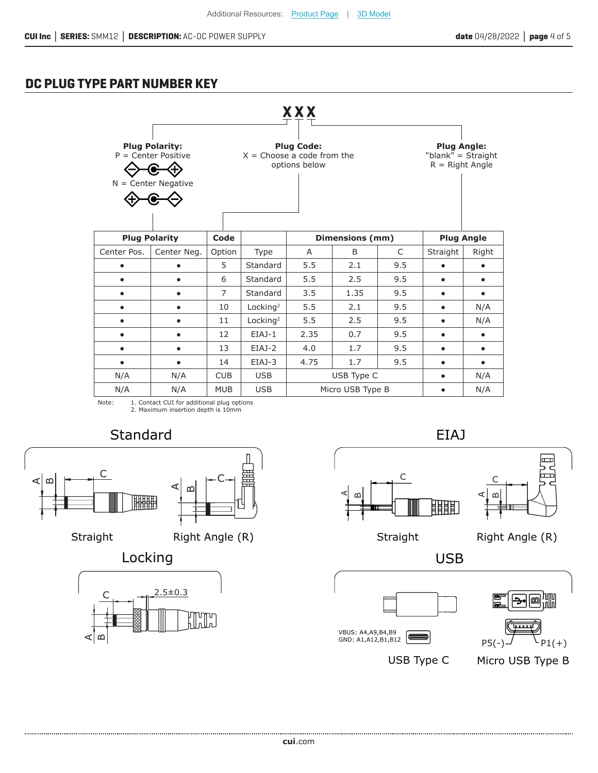### **DC PLUG TYPE PART NUMBER KEY**

|                                                                                                                                                                                                                |                                                        |                |                      | <b>XXX</b>                   |              |     |                   |           |
|----------------------------------------------------------------------------------------------------------------------------------------------------------------------------------------------------------------|--------------------------------------------------------|----------------|----------------------|------------------------------|--------------|-----|-------------------|-----------|
| <b>Plug Polarity:</b><br><b>Plug Code:</b><br><b>Plug Angle:</b><br>$P =$ Center Positive<br>$X =$ Choose a code from the<br>"blank" = Straight<br>$R =$ Right Angle<br>options below<br>$N =$ Center Negative |                                                        |                |                      |                              |              |     |                   |           |
|                                                                                                                                                                                                                | <b>Plug Polarity</b><br><b>Dimensions (mm)</b><br>Code |                |                      |                              |              |     | <b>Plug Angle</b> |           |
| Center Pos.                                                                                                                                                                                                    | Center Neg.                                            | Option         | Type                 | A                            | <sub>B</sub> | C   | Straight          | Right     |
|                                                                                                                                                                                                                |                                                        | 5              | Standard             | 5.5                          | 2.1          | 9.5 |                   |           |
| $\bullet$                                                                                                                                                                                                      |                                                        | 6              | Standard             | 5.5                          | 2.5          | 9.5 | $\bullet$         | $\bullet$ |
| $\bullet$                                                                                                                                                                                                      |                                                        | $\overline{7}$ | Standard             | 3.5                          | 1.35         | 9.5 | ٠                 | $\bullet$ |
| $\bullet$                                                                                                                                                                                                      |                                                        | 10             | Locking <sup>2</sup> | 5.5                          | 2.1          | 9.5 | ٠                 | N/A       |
|                                                                                                                                                                                                                |                                                        | 11             | Locking <sup>2</sup> | 5.5                          | 2.5          | 9.5 | ٠                 | N/A       |
| $\bullet$                                                                                                                                                                                                      | ٠                                                      | 12             | $EIAJ-1$             | 2.35                         | 0.7          | 9.5 | ٠                 | $\bullet$ |
| $\bullet$                                                                                                                                                                                                      |                                                        | 13             | $EIAJ-2$             | 4.0                          | 1.7          | 9.5 | $\bullet$         | $\bullet$ |
| ٠                                                                                                                                                                                                              |                                                        | 14             | EIAJ-3               | 4.75                         | 1.7          | 9.5 | $\bullet$         | $\bullet$ |
| N/A                                                                                                                                                                                                            | N/A                                                    | <b>CUB</b>     | <b>USB</b>           |                              | USB Type C   |     | $\bullet$         | N/A       |
| N/A                                                                                                                                                                                                            | N/A                                                    | <b>MUB</b>     | <b>USB</b>           | Micro USB Type B<br>N/A<br>٠ |              |     |                   |           |

Note: 1. Contact CUI for additional plug options 2. Maximum insertion depth is 10mm

## **Standard**



Straight Right Angle (R)

Locking